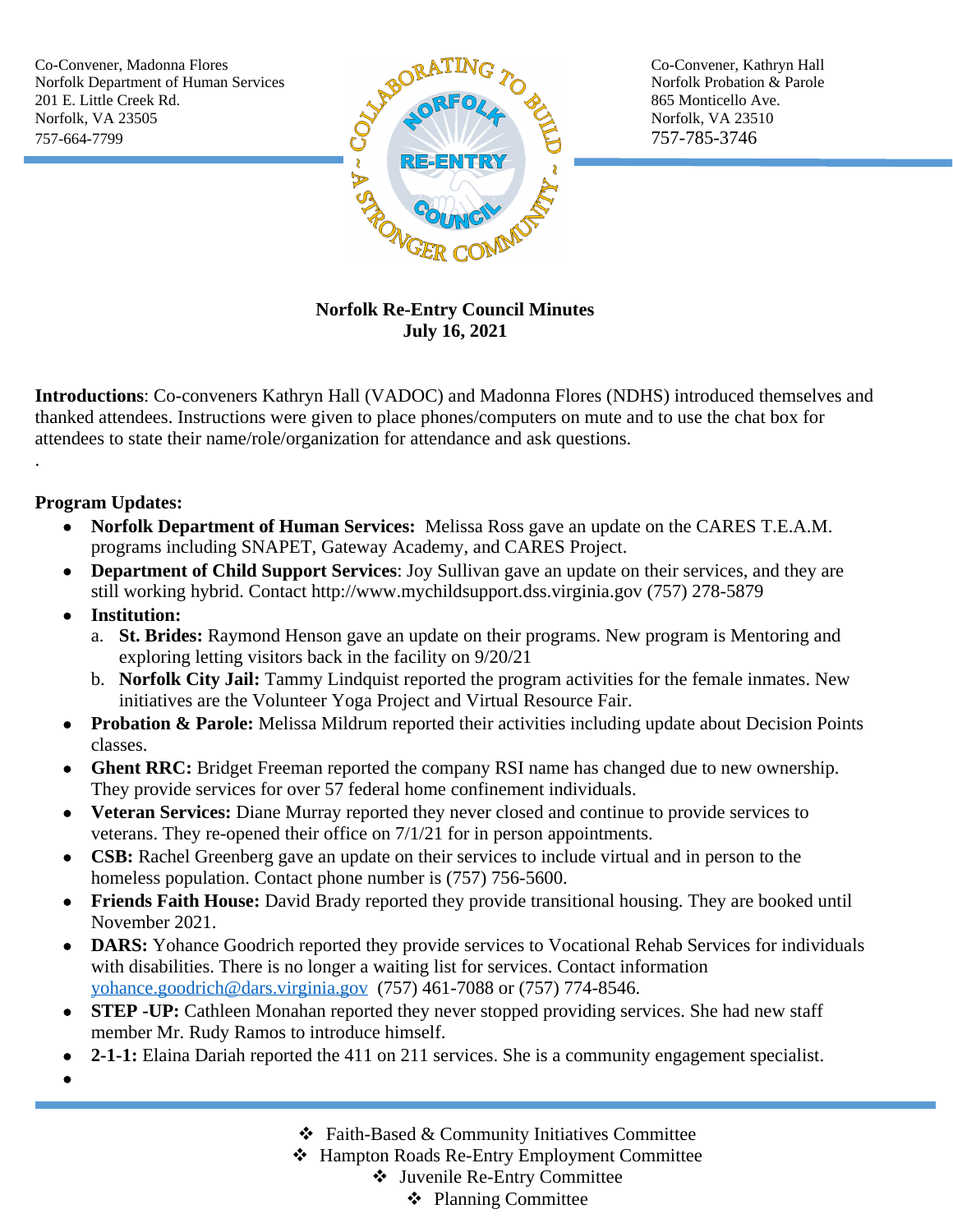Co-Convener, Madonna Flores Co-Convener, Kathryn Hall 201 E. Little Creek Rd. 865 Monticello Ave. Norfolk, VA 23505  $\rightarrow$  Norfolk, VA 23510 757-664-7799 757-785-3746



## **Norfolk Re-Entry Council Minutes July 16, 2021**

**Introductions**: Co-conveners Kathryn Hall (VADOC) and Madonna Flores (NDHS) introduced themselves and thanked attendees. Instructions were given to place phones/computers on mute and to use the chat box for attendees to state their name/role/organization for attendance and ask questions.

## **Program Updates:**

.

- **Norfolk Department of Human Services:** Melissa Ross gave an update on the CARES T.E.A.M. programs including SNAPET, Gateway Academy, and CARES Project.
- **Department of Child Support Services**: Joy Sullivan gave an update on their services, and they are still working hybrid. Contact http://www.mychildsupport.dss.virginia.gov (757) 278-5879
- **Institution:**
	- a. **St. Brides:** Raymond Henson gave an update on their programs. New program is Mentoring and exploring letting visitors back in the facility on 9/20/21
	- b. **Norfolk City Jail:** Tammy Lindquist reported the program activities for the female inmates. New initiatives are the Volunteer Yoga Project and Virtual Resource Fair.
- **Probation & Parole:** Melissa Mildrum reported their activities including update about Decision Points classes.
- **Ghent RRC:** Bridget Freeman reported the company RSI name has changed due to new ownership. They provide services for over 57 federal home confinement individuals.
- **Veteran Services:** Diane Murray reported they never closed and continue to provide services to veterans. They re-opened their office on 7/1/21 for in person appointments.
- **CSB:** Rachel Greenberg gave an update on their services to include virtual and in person to the homeless population. Contact phone number is  $(757)$  756-5600.
- **Friends Faith House:** David Brady reported they provide transitional housing. They are booked until November 2021.
- **DARS:** Yohance Goodrich reported they provide services to Vocational Rehab Services for individuals with disabilities. There is no longer a waiting list for services. Contact information [yohance.goodrich@dars.virginia.gov](mailto:yohance.goodrich@dars.virginia.gov) (757) 461-7088 or (757) 774-8546.
- **STEP -UP:** Cathleen Monahan reported they never stopped providing services. She had new staff member Mr. Rudy Ramos to introduce himself.
- **2-1-1:** Elaina Dariah reported the 411 on 211 services. She is a community engagement specialist.
- $\bullet$

- Faith-Based & Community Initiatives Committee
- Hampton Roads Re-Entry Employment Committee
	- Juvenile Re-Entry Committee
		- ❖ Planning Committee